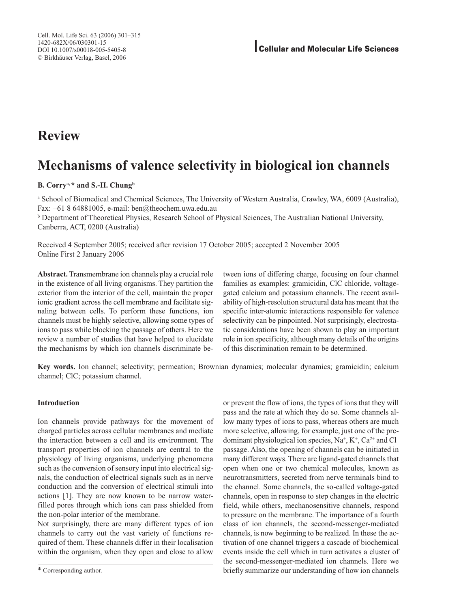## **Review**

# **Mechanisms of valence selectivity in biological ion channels**

## **B. Corrya,\* and S.-H. Chungb**

<sup>a</sup> School of Biomedical and Chemical Sciences, The University of Western Australia, Crawley, WA, 6009 (Australia), Fax: +61 8 64881005, e-mail: ben@theochem.uwa.edu.au

<sup>b</sup> Department of Theoretical Physics, Research School of Physical Sciences, The Australian National University, Canberra, ACT, 0200 (Australia)

Received 4 September 2005; received after revision 17 October 2005; accepted 2 November 2005 Online First 2 January 2006

**Abstract.** Transmembrane ion channels play a crucial role in the existence of all living organisms. They partition the exterior from the interior of the cell, maintain the proper ionic gradient across the cell membrane and facilitate signaling between cells. To perform these functions, ion channels must be highly selective, allowing some types of ions to pass while blocking the passage of others. Here we review a number of studies that have helped to elucidate the mechanisms by which ion channels discriminate between ions of differing charge, focusing on four channel families as examples: gramicidin, ClC chloride, voltagegated calcium and potassium channels. The recent availability of high-resolution structural data has meant that the specific inter-atomic interactions responsible for valence selectivity can be pinpointed. Not surprisingly, electrostatic considerations have been shown to play an important role in ion specificity, although many details of the origins of this discrimination remain to be determined.

**Key words.** Ion channel; selectivity; permeation; Brownian dynamics; molecular dynamics; gramicidin; calcium channel; ClC; potassium channel.

## **Introduction**

Ion channels provide pathways for the movement of charged particles across cellular membranes and mediate the interaction between a cell and its environment. The transport properties of ion channels are central to the physiology of living organisms, underlying phenomena such as the conversion of sensory input into electrical signals, the conduction of electrical signals such as in nerve conduction and the conversion of electrical stimuli into actions [1]. They are now known to be narrow waterfilled pores through which ions can pass shielded from the non-polar interior of the membrane.

Not surprisingly, there are many different types of ion channels to carry out the vast variety of functions required of them. These channels differ in their localisation within the organism, when they open and close to allow or prevent the flow of ions, the types of ions that they will pass and the rate at which they do so. Some channels allow many types of ions to pass, whereas others are much more selective, allowing, for example, just one of the predominant physiological ion species,  $Na^+$ ,  $K^+$ ,  $Ca^{2+}$  and Cl<sup>-</sup> passage. Also, the opening of channels can be initiated in many different ways. There are ligand-gated channels that open when one or two chemical molecules, known as neurotransmitters, secreted from nerve terminals bind to the channel. Some channels, the so-called voltage-gated channels, open in response to step changes in the electric field, while others, mechanosensitive channels, respond to pressure on the membrane. The importance of a fourth class of ion channels, the second-messenger-mediated channels, is now beginning to be realized. In these the activation of one channel triggers a cascade of biochemical events inside the cell which in turn activates a cluster of the second-messenger-mediated ion channels. Here we briefly summarize our understanding of how ion channels

<sup>\*</sup> Corresponding author.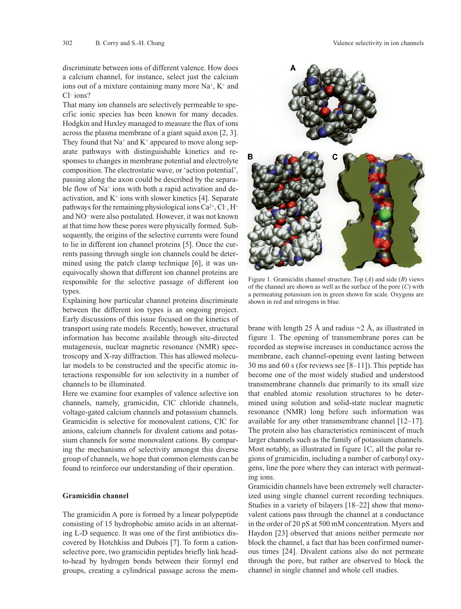discriminate between ions of different valence. How does a calcium channel, for instance, select just the calcium ions out of a mixture containing many more  $Na^+$ ,  $K^+$  and Cl– ions?

That many ion channels are selectively permeable to specific ionic species has been known for many decades. Hodgkin and Huxley managed to measure the flux of ions across the plasma membrane of a giant squid axon [2, 3]. They found that  $Na^+$  and  $K^+$  appeared to move along separate pathways with distinguishable kinetics and responses to changes in membrane potential and electrolyte composition. The electrostatic wave, or 'action potential', passing along the axon could be described by the separable flow of  $Na<sup>+</sup>$  ions with both a rapid activation and deactivation, and  $K^+$  ions with slower kinetics [4]. Separate pathways for the remaining physiological ions  $Ca^{2+}$ , Cl<sup>-</sup>, H<sup>+</sup> and NO– were also postulated. However, it was not known at that time how these pores were physically formed. Subsequently, the origins of the selective currents were found to lie in different ion channel proteins [5]. Once the currents passing through single ion channels could be determined using the patch clamp technique [6], it was unequivocally shown that different ion channel proteins are responsible for the selective passage of different ion types.

Explaining how particular channel proteins discriminate between the different ion types is an ongoing project. Early discussions of this issue focused on the kinetics of transport using rate models. Recently, however, structural information has become available through site-directed mutagenesis, nuclear magnetic resonance (NMR) spectroscopy and X-ray diffraction. This has allowed molecular models to be constructed and the specific atomic interactions responsible for ion selectivity in a number of channels to be illuminated.

Here we examine four examples of valence selective ion channels, namely, gramicidin, ClC chloride channels, voltage-gated calcium channels and potassium channels. Gramicidin is selective for monovalent cations, ClC for anions, calcium channels for divalent cations and potassium channels for some monovalent cations. By comparing the mechanisms of selectivity amongst this diverse group of channels, we hope that common elements can be found to reinforce our understanding of their operation.

#### **Gramicidin channel**

The gramicidin A pore is formed by a linear polypeptide consisting of 15 hydrophobic amino acids in an alternating L-D sequence. It was one of the first antibiotics discovered by Hotchkiss and Dubois [7]. To form a cationselective pore, two gramicidin peptides briefly link headto-head by hydrogen bonds between their formyl end groups, creating a cylindrical passage across the mem-



Figure 1. Gramicidin channel structure. Top (*A*) and side (*B*) views of the channel are shown as well as the surface of the pore (*C*) with a permeating potassium ion in green shown for scale. Oxygens are shown in red and nitrogens in blue.

brane with length 25 Å and radius  $\sim$  2 Å, as illustrated in figure 1. The opening of transmembrane pores can be recorded as stepwise increases in conductance across the membrane, each channel-opening event lasting between 30 ms and 60 s (for reviews see [8–11]). This peptide has become one of the most widely studied and understood transmembrane channels due primarily to its small size that enabled atomic resolution structures to be determined using solution and solid-state nuclear magnetic resonance (NMR) long before such information was available for any other transmembrane channel [12–17]. The protein also has characteristics reminiscent of much larger channels such as the family of potassium channels. Most notably, as illustrated in figure 1C, all the polar regions of gramicidin, including a number of carbonyl oxygens, line the pore where they can interact with permeating ions.

Gramicidin channels have been extremely well characterized using single channel current recording techniques. Studies in a variety of bilayers [18–22] show that monovalent cations pass through the channel at a conductance in the order of 20 pS at 500 mM concentration. Myers and Haydon [23] observed that anions neither permeate nor block the channel, a fact that has been confirmed numerous times [24]. Divalent cations also do not permeate through the pore, but rather are observed to block the channel in single channel and whole cell studies.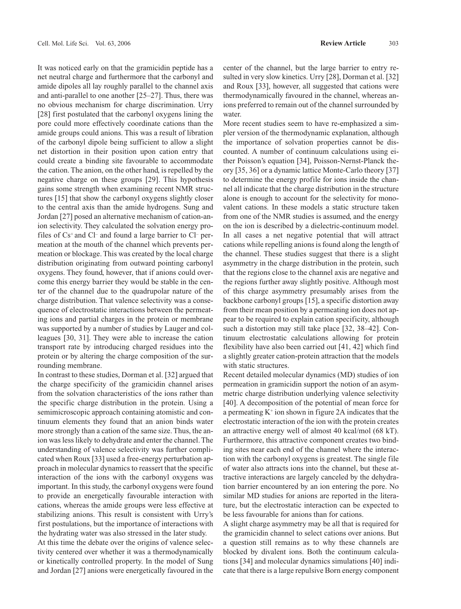It was noticed early on that the gramicidin peptide has a net neutral charge and furthermore that the carbonyl and amide dipoles all lay roughly parallel to the channel axis and anti-parallel to one another [25–27]. Thus, there was no obvious mechanism for charge discrimination. Urry [28] first postulated that the carbonyl oxygens lining the pore could more effectively coordinate cations than the amide groups could anions. This was a result of libration of the carbonyl dipole being sufficient to allow a slight net distortion in their position upon cation entry that could create a binding site favourable to accommodate the cation. The anion, on the other hand, is repelled by the negative charge on these groups [29]. This hypothesis gains some strength when examining recent NMR structures [15] that show the carbonyl oxygens slightly closer to the central axis than the amide hydrogens. Sung and Jordan [27] posed an alternative mechanism of cation-anion selectivity. They calculated the solvation energy profiles of  $Cs^+$  and  $Cl^-$  and found a large barrier to  $Cl^-$  permeation at the mouth of the channel which prevents permeation or blockage. This was created by the local charge distribution originating from outward pointing carbonyl oxygens. They found, however, that if anions could overcome this energy barrier they would be stable in the center of the channel due to the quadrupolar nature of the charge distribution. That valence selectivity was a consequence of electrostatic interactions between the permeating ions and partial charges in the protein or membrane was supported by a number of studies by Lauger and colleagues [30, 31]. They were able to increase the cation transport rate by introducing charged residues into the protein or by altering the charge composition of the surrounding membrane.

In contrast to these studies, Dorman et al. [32] argued that the charge specificity of the gramicidin channel arises from the solvation characteristics of the ions rather than the specific charge distribution in the protein. Using a semimicroscopic approach containing atomistic and continuum elements they found that an anion binds water more strongly than a cation of the same size. Thus, the anion was less likely to dehydrate and enter the channel. The understanding of valence selectivity was further complicated when Roux [33] used a free-energy perturbation approach in molecular dynamics to reassert that the specific interaction of the ions with the carbonyl oxygens was important. In this study, the carbonyl oxygens were found to provide an energetically favourable interaction with cations, whereas the amide groups were less effective at stabilizing anions. This result is consistent with Urry's first postulations, but the importance of interactions with the hydrating water was also stressed in the later study.

At this time the debate over the origins of valence selectivity centered over whether it was a thermodynamically or kinetically controlled property. In the model of Sung and Jordan [27] anions were energetically favoured in the center of the channel, but the large barrier to entry resulted in very slow kinetics. Urry [28], Dorman et al. [32] and Roux [33], however, all suggested that cations were thermodynamically favoured in the channel, whereas anions preferred to remain out of the channel surrounded by water.

More recent studies seem to have re-emphasized a simpler version of the thermodynamic explanation, although the importance of solvation properties cannot be discounted. A number of continuum calculations using either Poisson's equation [34], Poisson-Nernst-Planck theory [35, 36] or a dynamic lattice Monte-Carlo theory [37] to determine the energy profile for ions inside the channel all indicate that the charge distribution in the structure alone is enough to account for the selectivity for monovalent cations. In these models a static structure taken from one of the NMR studies is assumed, and the energy on the ion is described by a dielectric-continuum model. In all cases a net negative potential that will attract cations while repelling anions is found along the length of the channel. These studies suggest that there is a slight asymmetry in the charge distribution in the protein, such that the regions close to the channel axis are negative and the regions further away slightly positive. Although most of this charge asymmetry presumably arises from the backbone carbonyl groups [15], a specific distortion away from their mean position by a permeating ion does not appear to be required to explain cation specificity, although such a distortion may still take place [32, 38–42]. Continuum electrostatic calculations allowing for protein flexibility have also been carried out [41, 42] which find a slightly greater cation-protein attraction that the models with static structures.

Recent detailed molecular dynamics (MD) studies of ion permeation in gramicidin support the notion of an asymmetric charge distribution underlying valence selectivity [40]. A decomposition of the potential of mean force for a permeating  $K^+$  ion shown in figure 2A indicates that the electrostatic interaction of the ion with the protein creates an attractive energy well of almost 40 kcal/mol (68 kT). Furthermore, this attractive component creates two binding sites near each end of the channel where the interaction with the carbonyl oxygens is greatest. The single file of water also attracts ions into the channel, but these attractive interactions are largely canceled by the dehydration barrier encountered by an ion entering the pore. No similar MD studies for anions are reported in the literature, but the electrostatic interaction can be expected to be less favourable for anions than for cations.

A slight charge asymmetry may be all that is required for the gramicidin channel to select cations over anions. But a question still remains as to why these channels are blocked by divalent ions. Both the continuum calculations [34] and molecular dynamics simulations [40] indicate that there is a large repulsive Born energy component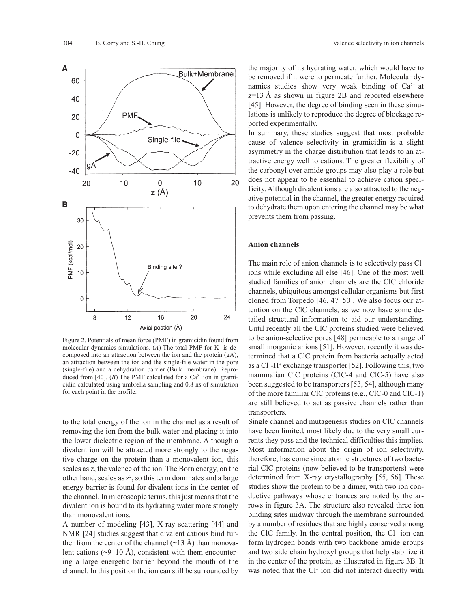

Figure 2. Potentials of mean force (PMF) in gramicidin found from molecular dynamics simulations.  $(A)$  The total PMF for K<sup>+</sup> is decomposed into an attraction between the ion and the protein (gA), an attraction between the ion and the single-file water in the pore (single-file) and a dehydration barrier (Bulk+membrane). Reproduced from [40]. (*B*) The PMF calculated for a  $Ca^{2+}$  ion in gramicidin calculated using umbrella sampling and 0.8 ns of simulation for each point in the profile.

to the total energy of the ion in the channel as a result of removing the ion from the bulk water and placing it into the lower dielectric region of the membrane. Although a divalent ion will be attracted more strongly to the negative charge on the protein than a monovalent ion, this scales as z, the valence of the ion. The Born energy, on the other hand, scales as  $z^2$ , so this term dominates and a large energy barrier is found for divalent ions in the center of the channel. In microscopic terms, this just means that the divalent ion is bound to its hydrating water more strongly than monovalent ions.

A number of modeling [43], X-ray scattering [44] and NMR [24] studies suggest that divalent cations bind further from the center of the channel  $(\sim 13 \text{ Å})$  than monovalent cations ( $\sim$ 9–10 Å), consistent with them encountering a large energetic barrier beyond the mouth of the channel. In this position the ion can still be surrounded by

the majority of its hydrating water, which would have to be removed if it were to permeate further. Molecular dynamics studies show very weak binding of  $Ca^{2+}$  at z=13 Å as shown in figure 2B and reported elsewhere [45]. However, the degree of binding seen in these simulations is unlikely to reproduce the degree of blockage reported experimentally.

In summary, these studies suggest that most probable cause of valence selectivity in gramicidin is a slight asymmetry in the charge distribution that leads to an attractive energy well to cations. The greater flexibility of the carbonyl over amide groups may also play a role but does not appear to be essential to achieve cation specificity. Although divalent ions are also attracted to the negative potential in the channel, the greater energy required to dehydrate them upon entering the channel may be what prevents them from passing.

### **Anion channels**

The main role of anion channels is to selectively pass Cl– ions while excluding all else [46]. One of the most well studied families of anion channels are the ClC chloride channels, ubiquitous amongst cellular organisms but first cloned from Torpedo [46, 47–50]. We also focus our attention on the ClC channels, as we now have some detailed structural information to aid our understanding. Until recently all the ClC proteins studied were believed to be anion-selective pores [48] permeable to a range of small inorganic anions [51]. However, recently it was determined that a ClC protein from bacteria actually acted as a Cl<sup>-</sup>-H<sup>+</sup> exchange transporter [52]. Following this, two mammalian ClC proteins (ClC-4 and ClC-5) have also been suggested to be transporters [53, 54], although many of the more familiar ClC proteins (e.g., ClC-0 and ClC-1) are still believed to act as passive channels rather than transporters.

Single channel and mutagenesis studies on ClC channels have been limited, most likely due to the very small currents they pass and the technical difficulties this implies. Most information about the origin of ion selectivity, therefore, has come since atomic structures of two bacterial ClC proteins (now believed to be transporters) were determined from X-ray crystallography [55, 56]. These studies show the protein to be a dimer, with two ion conductive pathways whose entrances are noted by the arrows in figure 3A. The structure also revealed three ion binding sites midway through the membrane surrounded by a number of residues that are highly conserved among the ClC family. In the central position, the Cl– ion can form hydrogen bonds with two backbone amide groups and two side chain hydroxyl groups that help stabilize it in the center of the protein, as illustrated in figure 3B. It was noted that the Cl<sup>-</sup> ion did not interact directly with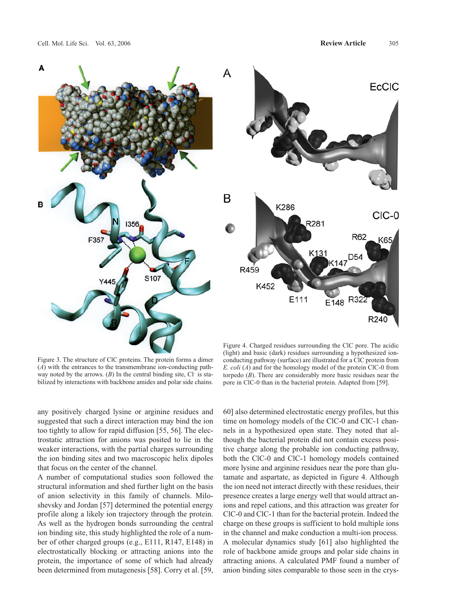



Figure 3. The structure of ClC proteins. The protein forms a dimer (*A*) with the entrances to the transmembrane ion-conducting pathway noted by the arrows.  $(B)$  In the central binding site,  $Cl^-$  is stabilized by interactions with backbone amides and polar side chains.

any positively charged lysine or arginine residues and suggested that such a direct interaction may bind the ion too tightly to allow for rapid diffusion [55, 56]. The electrostatic attraction for anions was posited to lie in the weaker interactions, with the partial charges surrounding the ion binding sites and two macroscopic helix dipoles that focus on the center of the channel.

A number of computational studies soon followed the structural information and shed further light on the basis of anion selectivity in this family of channels. Miloshevsky and Jordan [57] determined the potential energy profile along a likely ion trajectory through the protein. As well as the hydrogen bonds surrounding the central ion binding site, this study highlighted the role of a number of other charged groups (e.g., E111, R147, E148) in electrostatically blocking or attracting anions into the protein, the importance of some of which had already been determined from mutagenesis [58]. Corry et al. [59,

Figure 4. Charged residues surrounding the ClC pore. The acidic (light) and basic (dark) residues surrounding a hypothesized ionconducting pathway (surface) are illustrated for a ClC protein from *E. coli* (*A*) and for the homology model of the protein ClC-0 from torpedo (*B*). There are considerably more basic residues near the pore in ClC-0 than in the bacterial protein. Adapted from [59].

60] also determined electrostatic energy profiles, but this time on homology models of the ClC-0 and ClC-1 channels in a hypothesized open state. They noted that although the bacterial protein did not contain excess positive charge along the probable ion conducting pathway, both the ClC-0 and ClC-1 homology models contained more lysine and arginine residues near the pore than glutamate and aspartate, as depicted in figure 4. Although the ion need not interact directly with these residues, their presence creates a large energy well that would attract anions and repel cations, and this attraction was greater for ClC-0 and ClC-1 than for the bacterial protein. Indeed the charge on these groups is sufficient to hold multiple ions in the channel and make conduction a multi-ion process. A molecular dynamics study [61] also highlighted the role of backbone amide groups and polar side chains in attracting anions. A calculated PMF found a number of anion binding sites comparable to those seen in the crys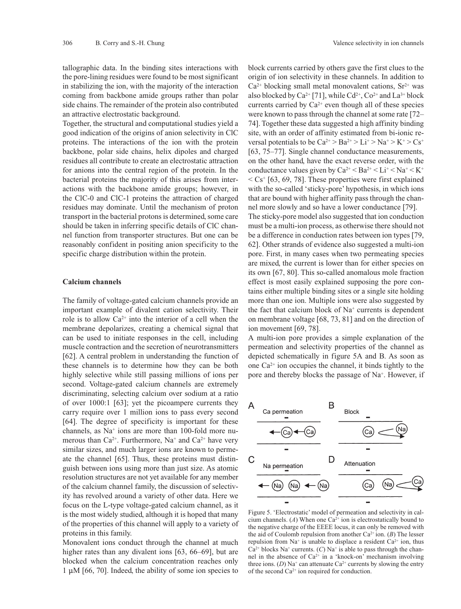tallographic data. In the binding sites interactions with the pore-lining residues were found to be most significant in stabilizing the ion, with the majority of the interaction coming from backbone amide groups rather than polar side chains. The remainder of the protein also contributed an attractive electrostatic background.

Together, the structural and computational studies yield a good indication of the origins of anion selectivity in ClC proteins. The interactions of the ion with the protein backbone, polar side chains, helix dipoles and charged residues all contribute to create an electrostatic attraction for anions into the central region of the protein. In the bacterial proteins the majority of this arises from interactions with the backbone amide groups; however, in the ClC-0 and ClC-1 proteins the attraction of charged residues may dominate. Until the mechanism of proton transport in the bacterial protons is determined, some care should be taken in inferring specific details of ClC channel function from transporter structures. But one can be reasonably confident in positing anion specificity to the specific charge distribution within the protein.

#### **Calcium channels**

The family of voltage-gated calcium channels provide an important example of divalent cation selectivity. Their role is to allow  $Ca^{2+}$  into the interior of a cell when the membrane depolarizes, creating a chemical signal that can be used to initiate responses in the cell, including muscle contraction and the secretion of neurotransmitters [62]. A central problem in understanding the function of these channels is to determine how they can be both highly selective while still passing millions of ions per second. Voltage-gated calcium channels are extremely discriminating, selecting calcium over sodium at a ratio of over 1000:1 [63]; yet the picoampere currents they carry require over 1 million ions to pass every second [64]. The degree of specificity is important for these channels, as Na+ ions are more than 100-fold more numerous than  $Ca^{2+}$ . Furthermore, Na<sup>+</sup> and  $Ca^{2+}$  have very similar sizes, and much larger ions are known to permeate the channel [65]. Thus, these proteins must distinguish between ions using more than just size. As atomic resolution structures are not yet available for any member of the calcium channel family, the discussion of selectivity has revolved around a variety of other data. Here we focus on the L-type voltage-gated calcium channel, as it is the most widely studied, although it is hoped that many of the properties of this channel will apply to a variety of proteins in this family.

Monovalent ions conduct through the channel at much higher rates than any divalent ions [63, 66–69], but are blocked when the calcium concentration reaches only  $1 \mu M$  [66, 70]. Indeed, the ability of some ion species to

block currents carried by others gave the first clues to the origin of ion selectivity in these channels. In addition to  $Ca<sup>2+</sup>$  blocking small metal monovalent cations,  $Sr<sup>2+</sup>$  was also blocked by Ca<sup>2+</sup> [71], while Cd<sup>2+</sup>, Co<sup>2+</sup> and La<sup>3+</sup> block currents carried by  $Ca^{2+}$  even though all of these species were known to pass through the channel at some rate [72– 74]. Together these data suggested a high affinity binding site, with an order of affinity estimated from bi-ionic reversal potentials to be  $Ca^{2+} > Ba^{2+} > Li^{+} > Na^{+} > K^{+} > Cs^{+}$ [63, 75–77]. Single channel conductance measurements, on the other hand, have the exact reverse order, with the conductance values given by  $Ca^{2+} < Ba^{2+} < Li^{+} < Na^{+} < K^{+}$  $\langle$  Cs<sup>+</sup> [63, 69, 78]. These properties were first explained with the so-called 'sticky-pore' hypothesis, in which ions that are bound with higher affinity pass through the channel more slowly and so have a lower conductance [79]. The sticky-pore model also suggested that ion conduction must be a multi-ion process, as otherwise there should not be a difference in conduction rates between ion types [79, 62]. Other strands of evidence also suggested a multi-ion pore. First, in many cases when two permeating species are mixed, the current is lower than for either species on its own [67, 80]. This so-called anomalous mole fraction effect is most easily explained supposing the pore contains either multiple binding sites or a single site holding more than one ion. Multiple ions were also suggested by the fact that calcium block of  $Na<sup>+</sup>$  currents is dependent on membrane voltage [68, 73, 81] and on the direction of ion movement [69, 78].

A multi-ion pore provides a simple explanation of the permeation and selectivity properties of the channel as depicted schematically in figure 5A and B. As soon as one  $Ca^{2+}$  ion occupies the channel, it binds tightly to the pore and thereby blocks the passage of Na+. However, if



Figure 5. 'Electrostatic' model of permeation and selectivity in calcium channels. ( $A$ ) When one Ca<sup>2+</sup> ion is electrostatically bound to the negative charge of the EEEE locus, it can only be removed with the aid of Coulomb repulsion from another Ca2+ ion. (*B*) The lesser repulsion from Na<sup>+</sup> is unable to displace a resident Ca<sup>2+</sup> ion, thus  $Ca<sup>2+</sup> blocks Na<sup>+</sup> currents. (C) Na<sup>+</sup> is able to pass through the chan$ nel in the absence of  $Ca^{2+}$  in a 'knock-on' mechanism involving three ions. (*D*) Na<sup>+</sup> can attenuate Ca<sup>2+</sup> currents by slowing the entry of the second  $Ca^{2+}$  ion required for conduction.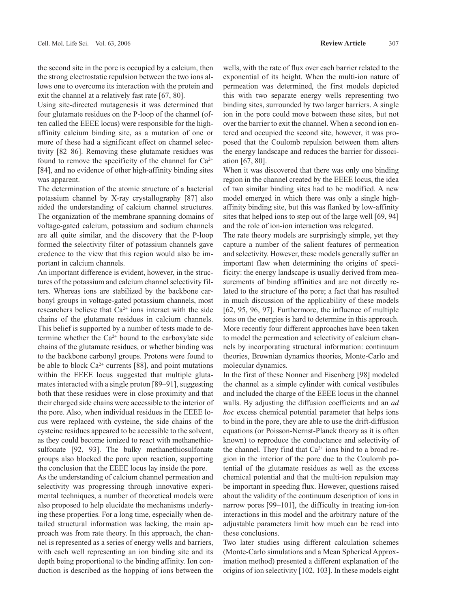the second site in the pore is occupied by a calcium, then the strong electrostatic repulsion between the two ions allows one to overcome its interaction with the protein and exit the channel at a relatively fast rate [67, 80].

Using site-directed mutagenesis it was determined that four glutamate residues on the P-loop of the channel (often called the EEEE locus) were responsible for the highaffinity calcium binding site, as a mutation of one or more of these had a significant effect on channel selectivity [82–86]. Removing these glutamate residues was found to remove the specificity of the channel for  $Ca^{2+}$ [84], and no evidence of other high-affinity binding sites was apparent.

The determination of the atomic structure of a bacterial potassium channel by X-ray crystallography [87] also aided the understanding of calcium channel structures. The organization of the membrane spanning domains of voltage-gated calcium, potassium and sodium channels are all quite similar, and the discovery that the P-loop formed the selectivity filter of potassium channels gave credence to the view that this region would also be important in calcium channels.

An important difference is evident, however, in the structures of the potassium and calcium channel selectivity filters. Whereas ions are stabilized by the backbone carbonyl groups in voltage-gated potassium channels, most researchers believe that  $Ca^{2+}$  ions interact with the side chains of the glutamate residues in calcium channels. This belief is supported by a number of tests made to determine whether the  $Ca^{2+}$  bound to the carboxylate side chains of the glutamate residues, or whether binding was to the backbone carbonyl groups. Protons were found to be able to block  $Ca^{2+}$  currents [88], and point mutations within the EEEE locus suggested that multiple glutamates interacted with a single proton [89–91], suggesting both that these residues were in close proximity and that their charged side chains were accessible to the interior of the pore. Also, when individual residues in the EEEE locus were replaced with cysteine, the side chains of the cysteine residues appeared to be accessible to the solvent, as they could become ionized to react with methanethiosulfonate [92, 93]. The bulky methanethiosulfonate groups also blocked the pore upon reaction, supporting the conclusion that the EEEE locus lay inside the pore.

As the understanding of calcium channel permeation and selectivity was progressing through innovative experimental techniques, a number of theoretical models were also proposed to help elucidate the mechanisms underlying these properties. For a long time, especially when detailed structural information was lacking, the main approach was from rate theory. In this approach, the channel is represented as a series of energy wells and barriers, with each well representing an ion binding site and its depth being proportional to the binding affinity. Ion conduction is described as the hopping of ions between the wells, with the rate of flux over each barrier related to the exponential of its height. When the multi-ion nature of permeation was determined, the first models depicted this with two separate energy wells representing two binding sites, surrounded by two larger barriers. A single ion in the pore could move between these sites, but not over the barrier to exit the channel. When a second ion entered and occupied the second site, however, it was proposed that the Coulomb repulsion between them alters the energy landscape and reduces the barrier for dissociation [67, 80].

When it was discovered that there was only one binding region in the channel created by the EEEE locus, the idea of two similar binding sites had to be modified. A new model emerged in which there was only a single highaffinity binding site, but this was flanked by low-affinity sites that helped ions to step out of the large well [69, 94] and the role of ion-ion interaction was relegated.

The rate theory models are surprisingly simple, yet they capture a number of the salient features of permeation and selectivity. However, these models generally suffer an important flaw when determining the origins of specificity: the energy landscape is usually derived from measurements of binding affinities and are not directly related to the structure of the pore; a fact that has resulted in much discussion of the applicability of these models [62, 95, 96, 97]. Furthermore, the influence of multiple ions on the energies is hard to determine in this approach. More recently four different approaches have been taken to model the permeation and selectivity of calcium channels by incorporating structural information: continuum theories, Brownian dynamics theories, Monte-Carlo and molecular dynamics.

In the first of these Nonner and Eisenberg [98] modeled the channel as a simple cylinder with conical vestibules and included the charge of the EEEE locus in the channel walls. By adjusting the diffusion coefficients and an *ad hoc* excess chemical potential parameter that helps ions to bind in the pore, they are able to use the drift-diffusion equations (or Poisson-Nernst-Planck theory as it is often known) to reproduce the conductance and selectivity of the channel. They find that  $Ca^{2+}$  ions bind to a broad region in the interior of the pore due to the Coulomb potential of the glutamate residues as well as the excess chemical potential and that the multi-ion repulsion may be important in speeding flux. However, questions raised about the validity of the continuum description of ions in narrow pores [99–101], the difficulty in treating ion-ion interactions in this model and the arbitrary nature of the adjustable parameters limit how much can be read into these conclusions.

Two later studies using different calculation schemes (Monte-Carlo simulations and a Mean Spherical Approximation method) presented a different explanation of the origins of ion selectivity [102, 103]. In these models eight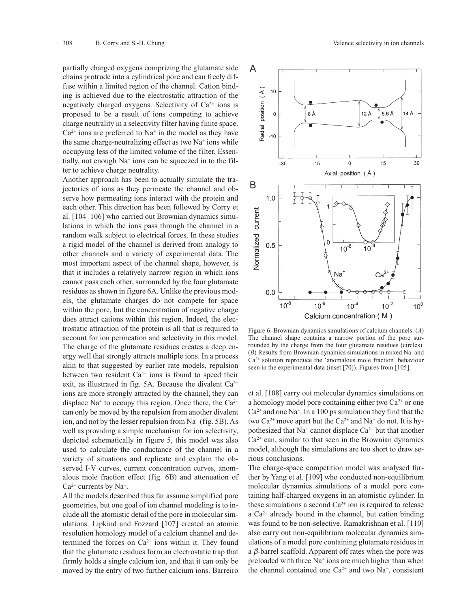partially charged oxygens comprizing the glutamate side chains protrude into a cylindrical pore and can freely diffuse within a limited region of the channel. Cation binding is achieved due to the electrostatic attraction of the negatively charged oxygens. Selectivity of  $Ca^{2+}$  ions is proposed to be a result of ions competing to achieve charge neutrality in a selectivity filter having finite space.  $Ca<sup>2+</sup>$  ions are preferred to Na<sup>+</sup> in the model as they have the same charge-neutralizing effect as two  $Na<sup>+</sup>$  ions while occupying less of the limited volume of the filter. Essentially, not enough Na<sup>+</sup> ions can be squeezed in to the filter to achieve charge neutrality.

Another approach has been to actually simulate the trajectories of ions as they permeate the channel and observe how permeating ions interact with the protein and each other. This direction has been followed by Corry et al. [104–106] who carried out Brownian dynamics simulations in which the ions pass through the channel in a random walk subject to electrical forces. In these studies a rigid model of the channel is derived from analogy to other channels and a variety of experimental data. The most important aspect of the channel shape, however, is that it includes a relatively narrow region in which ions cannot pass each other, surrounded by the four glutamate residues as shown in figure 6A. Unlike the previous models, the glutamate charges do not compete for space within the pore, but the concentration of negative charge does attract cations within this region. Indeed, the electrostatic attraction of the protein is all that is required to account for ion permeation and selectivity in this model. The charge of the glutamate residues creates a deep energy well that strongly attracts multiple ions. In a process akin to that suggested by earlier rate models, repulsion between two resident  $Ca^{2+}$  ions is found to speed their exit, as illustrated in fig. 5A. Because the divalent  $Ca^{2+}$ ions are more strongly attracted by the channel, they can displace Na<sup>+</sup> to occupy this region. Once there, the  $Ca^{2+}$ can only be moved by the repulsion from another divalent ion, and not by the lesser repulsion from  $Na<sup>+</sup>$  (fig. 5B). As well as providing a simple mechanism for ion selectivity, depicted schematically in figure 5, this model was also used to calculate the conductance of the channel in a variety of situations and replicate and explain the observed I-V curves, current concentration curves, anomalous mole fraction effect (fig. 6B) and attenuation of  $Ca<sup>2+</sup> currents by Na<sup>+</sup>.$ 

All the models described thus far assume simplified pore geometries, but one goal of ion channel modeling is to include all the atomistic detail of the pore in molecular simulations. Lipkind and Fozzard [107] created an atomic resolution homology model of a calcium channel and determined the forces on  $Ca^{2+}$  ions within it. They found that the glutamate residues form an electrostatic trap that firmly holds a single calcium ion, and that it can only be moved by the entry of two further calcium ions. Barreiro



Figure 6. Brownian dynamics simulations of calcium channels. (*A*) The channel shape contains a narrow portion of the pore surrounded by the charge from the four glutamate residues (circles). (*B*) Results from Brownian dynamics simulations in mixed Na+ and  $Ca<sup>2+</sup>$  solution reproduce the 'anomalous mole fraction' behaviour seen in the experimental data (inset [70]). Figures from [105].

et al. [108] carry out molecular dynamics simulations on a homology model pore containing either two  $Ca^{2+}$  or one  $Ca^{2+}$  and one Na<sup>+</sup>. In a 100 ps simulation they find that the two Ca<sup>2+</sup> move apart but the Ca<sup>2+</sup> and Na<sup>+</sup> do not. It is hypothesized that  $Na^+$  cannot displace  $Ca^{2+}$  but that another  $Ca<sup>2+</sup>$  can, similar to that seen in the Brownian dynamics model, although the simulations are too short to draw serious conclusions.

The charge-space competition model was analysed further by Yang et al. [109] who conducted non-equilibrium molecular dynamics simulations of a model pore containing half-charged oxygens in an atomistic cylinder. In these simulations a second  $Ca<sup>2+</sup>$  ion is required to release a  $Ca<sup>2+</sup>$  already bound in the channel, but cation binding was found to be non-selective. Ramakrishnan et al. [110] also carry out non-equilibrium molecular dynamics simulations of a model pore containing glutamate residues in a  $\beta$ -barrel scaffold. Apparent off rates when the pore was preloaded with three Na<sup>+</sup> ions are much higher than when the channel contained one  $Ca^{2+}$  and two Na<sup>+</sup>, consistent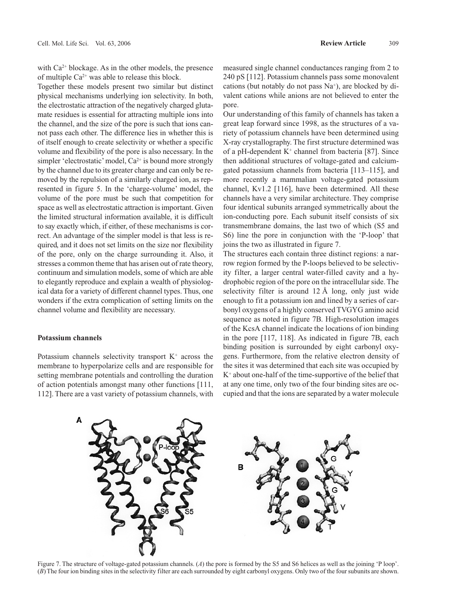with  $Ca^{2+}$  blockage. As in the other models, the presence of multiple  $Ca^{2+}$  was able to release this block.

Together these models present two similar but distinct physical mechanisms underlying ion selectivity. In both, the electrostatic attraction of the negatively charged glutamate residues is essential for attracting multiple ions into the channel, and the size of the pore is such that ions cannot pass each other. The difference lies in whether this is of itself enough to create selectivity or whether a specific volume and flexibility of the pore is also necessary. In the simpler 'electrostatic' model,  $Ca^{2+}$  is bound more strongly by the channel due to its greater charge and can only be removed by the repulsion of a similarly charged ion, as represented in figure 5. In the 'charge-volume' model, the volume of the pore must be such that competition for space as well as electrostatic attraction is important. Given the limited structural information available, it is difficult to say exactly which, if either, of these mechanisms is correct. An advantage of the simpler model is that less is required, and it does not set limits on the size nor flexibility of the pore, only on the charge surrounding it. Also, it stresses a common theme that has arisen out of rate theory, continuum and simulation models, some of which are able to elegantly reproduce and explain a wealth of physiological data for a variety of different channel types. Thus, one wonders if the extra complication of setting limits on the channel volume and flexibility are necessary.

### **Potassium channels**

Potassium channels selectivity transport  $K^+$  across the membrane to hyperpolarize cells and are responsible for setting membrane potentials and controlling the duration of action potentials amongst many other functions [111, 112]. There are a vast variety of potassium channels, with measured single channel conductances ranging from 2 to 240 pS [112]. Potassium channels pass some monovalent cations (but notably do not pass  $Na<sup>+</sup>$ ), are blocked by divalent cations while anions are not believed to enter the pore.

Our understanding of this family of channels has taken a great leap forward since 1998, as the structures of a variety of potassium channels have been determined using X-ray crystallography. The first structure determined was of a pH-dependent  $K^+$  channel from bacteria [87]. Since then additional structures of voltage-gated and calciumgated potassium channels from bacteria [113–115], and more recently a mammalian voltage-gated potassium channel, Kv1.2 [116], have been determined. All these channels have a very similar architecture. They comprise four identical subunits arranged symmetrically about the ion-conducting pore. Each subunit itself consists of six transmembrane domains, the last two of which (S5 and S6) line the pore in conjunction with the 'P-loop' that joins the two as illustrated in figure 7.

The structures each contain three distinct regions: a narrow region formed by the P-loops believed to be selectivity filter, a larger central water-filled cavity and a hydrophobic region of the pore on the intracellular side. The selectivity filter is around 12 Å long, only just wide enough to fit a potassium ion and lined by a series of carbonyl oxygens of a highly conserved TVGYG amino acid sequence as noted in figure 7B. High-resolution images of the KcsA channel indicate the locations of ion binding in the pore [117, 118]. As indicated in figure 7B, each binding position is surrounded by eight carbonyl oxygens. Furthermore, from the relative electron density of the sites it was determined that each site was occupied by  $K<sup>+</sup>$  about one-half of the time-supportive of the belief that at any one time, only two of the four binding sites are occupied and that the ions are separated by a water molecule



Figure 7. The structure of voltage-gated potassium channels. (*A*) the pore is formed by the S5 and S6 helices as well as the joining 'P loop'. (*B*) The four ion binding sites in the selectivity filter are each surrounded by eight carbonyl oxygens. Only two of the four subunits are shown.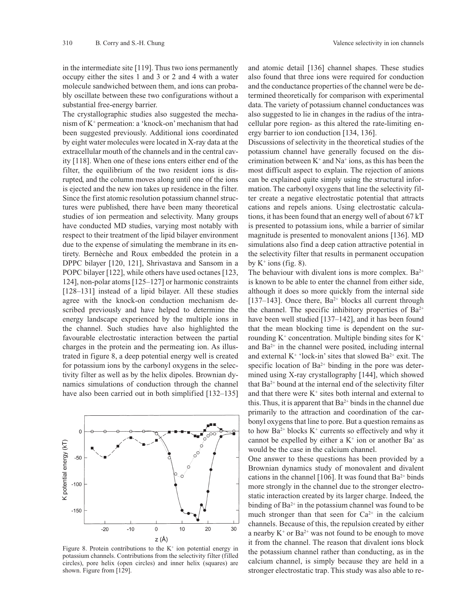in the intermediate site [119]. Thus two ions permanently occupy either the sites 1 and 3 or 2 and 4 with a water molecule sandwiched between them, and ions can probably oscillate between these two configurations without a substantial free-energy barrier.

The crystallographic studies also suggested the mechanism of K+ permeation: a 'knock-on' mechanism that had been suggested previously. Additional ions coordinated by eight water molecules were located in X-ray data at the extracellular mouth of the channels and in the central cavity [118]. When one of these ions enters either end of the filter, the equilibrium of the two resident ions is disrupted, and the column moves along until one of the ions is ejected and the new ion takes up residence in the filter. Since the first atomic resolution potassium channel structures were published, there have been many theoretical studies of ion permeation and selectivity. Many groups have conducted MD studies, varying most notably with respect to their treatment of the lipid bilayer environment due to the expense of simulating the membrane in its entirety. Bernèche and Roux embedded the protein in a DPPC bilayer [120, 121], Shrivastava and Sansom in a POPC bilayer [122], while others have used octanes [123, 124], non-polar atoms [125–127] or harmonic constraints [128–131] instead of a lipid bilayer. All these studies agree with the knock-on conduction mechanism described previously and have helped to determine the energy landscape experienced by the multiple ions in the channel. Such studies have also highlighted the favourable electrostatic interaction between the partial charges in the protein and the permeating ion. As illustrated in figure 8, a deep potential energy well is created for potassium ions by the carbonyl oxygens in the selectivity filter as well as by the helix dipoles. Brownian dynamics simulations of conduction through the channel have also been carried out in both simplified [132–135]



Figure 8. Protein contributions to the  $K^+$  ion potential energy in potassium channels. Contributions from the selectivity filter (filled circles), pore helix (open circles) and inner helix (squares) are shown. Figure from [129].

and atomic detail [136] channel shapes. These studies also found that three ions were required for conduction and the conductance properties of the channel were be determined theoretically for comparison with experimental data. The variety of potassium channel conductances was also suggested to lie in changes in the radius of the intracellular pore region- as this altered the rate-limiting energy barrier to ion conduction [134, 136].

Discussions of selectivity in the theoretical studies of the potassium channel have generally focused on the discrimination between  $K^+$  and  $Na^+$  ions, as this has been the most difficult aspect to explain. The rejection of anions can be explained quite simply using the structural information. The carbonyl oxygens that line the selectivity filter create a negative electrostatic potential that attracts cations and repels anions. Using electrostatic calculations, it has been found that an energy well of about 67 kT is presented to potassium ions, while a barrier of similar magnitude is presented to monovalent anions [136]. MD simulations also find a deep cation attractive potential in the selectivity filter that results in permanent occupation by  $K^+$  ions (fig. 8).

The behaviour with divalent ions is more complex.  $Ba^{2+}$ is known to be able to enter the channel from either side, although it does so more quickly from the internal side [137–143]. Once there,  $Ba^{2+}$  blocks all current through the channel. The specific inhibitory properties of  $Ba^{2+}$ have been well studied [137–142], and it has been found that the mean blocking time is dependent on the surrounding  $K^+$  concentration. Multiple binding sites for  $K^+$ and  $Ba^{2+}$  in the channel were posited, including internal and external  $K^+$  'lock-in' sites that slowed Ba<sup>2+</sup> exit. The specific location of Ba<sup>2+</sup> binding in the pore was determined using X-ray crystallography [144], which showed that  $Ba^{2+}$  bound at the internal end of the selectivity filter and that there were  $K^+$  sites both internal and external to this. Thus, it is apparent that  $Ba^{2+}$  binds in the channel due primarily to the attraction and coordination of the carbonyl oxygens that line to pore. But a question remains as to how  $Ba^{2+}$  blocks  $K^+$  currents so effectively and why it cannot be expelled by either a  $K^+$  ion or another Ba<sup>+</sup> as would be the case in the calcium channel.

One answer to these questions has been provided by a Brownian dynamics study of monovalent and divalent cations in the channel [106]. It was found that  $Ba^{2+}$  binds more strongly in the channel due to the stronger electrostatic interaction created by its larger charge. Indeed, the binding of  $Ba^{2+}$  in the potassium channel was found to be much stronger than that seen for  $Ca^{2+}$  in the calcium channels. Because of this, the repulsion created by either a nearby  $K^+$  or  $Ba^{2+}$  was not found to be enough to move it from the channel. The reason that divalent ions block the potassium channel rather than conducting, as in the calcium channel, is simply because they are held in a stronger electrostatic trap. This study was also able to re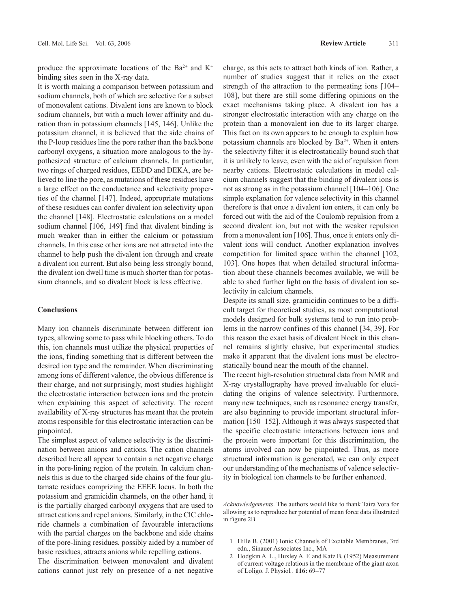produce the approximate locations of the Ba<sup>2+</sup> and K<sup>+</sup> binding sites seen in the X-ray data.

It is worth making a comparison between potassium and sodium channels, both of which are selective for a subset of monovalent cations. Divalent ions are known to block sodium channels, but with a much lower affinity and duration than in potassium channels [145, 146]. Unlike the potassium channel, it is believed that the side chains of the P-loop residues line the pore rather than the backbone carbonyl oxygens, a situation more analogous to the hypothesized structure of calcium channels. In particular, two rings of charged residues, EEDD and DEKA, are believed to line the pore, as mutations of these residues have a large effect on the conductance and selectivity properties of the channel [147]. Indeed, appropriate mutations of these residues can confer divalent ion selectivity upon the channel [148]. Electrostatic calculations on a model sodium channel [106, 149] find that divalent binding is much weaker than in either the calcium or potassium channels. In this case other ions are not attracted into the channel to help push the divalent ion through and create a divalent ion current. But also being less strongly bound, the divalent ion dwell time is much shorter than for potassium channels, and so divalent block is less effective.

#### **Conclusions**

Many ion channels discriminate between different ion types, allowing some to pass while blocking others. To do this, ion channels must utilize the physical properties of the ions, finding something that is different between the desired ion type and the remainder. When discriminating among ions of different valence, the obvious difference is their charge, and not surprisingly, most studies highlight the electrostatic interaction between ions and the protein when explaining this aspect of selectivity. The recent availability of X-ray structures has meant that the protein atoms responsible for this electrostatic interaction can be pinpointed.

The simplest aspect of valence selectivity is the discrimination between anions and cations. The cation channels described here all appear to contain a net negative charge in the pore-lining region of the protein. In calcium channels this is due to the charged side chains of the four glutamate residues comprizing the EEEE locus. In both the potassium and gramicidin channels, on the other hand, it is the partially charged carbonyl oxygens that are used to attract cations and repel anions. Similarly, in the ClC chloride channels a combination of favourable interactions with the partial charges on the backbone and side chains of the pore-lining residues, possibly aided by a number of basic residues, attracts anions while repelling cations.

The discrimination between monovalent and divalent cations cannot just rely on presence of a net negative charge, as this acts to attract both kinds of ion. Rather, a number of studies suggest that it relies on the exact strength of the attraction to the permeating ions [104– 108], but there are still some differing opinions on the exact mechanisms taking place. A divalent ion has a stronger electrostatic interaction with any charge on the protein than a monovalent ion due to its larger charge. This fact on its own appears to be enough to explain how potassium channels are blocked by Ba<sup>2+</sup>. When it enters the selectivity filter it is electrostatically bound such that it is unlikely to leave, even with the aid of repulsion from nearby cations. Electrostatic calculations in model calcium channels suggest that the binding of divalent ions is not as strong as in the potassium channel [104–106]. One simple explanation for valence selectivity in this channel therefore is that once a divalent ion enters, it can only be forced out with the aid of the Coulomb repulsion from a second divalent ion, but not with the weaker repulsion from a monovalent ion [106]. Thus, once it enters only divalent ions will conduct. Another explanation involves competition for limited space within the channel [102, 103]. One hopes that when detailed structural information about these channels becomes available, we will be able to shed further light on the basis of divalent ion selectivity in calcium channels.

Despite its small size, gramicidin continues to be a difficult target for theoretical studies, as most computational models designed for bulk systems tend to run into problems in the narrow confines of this channel [34, 39]. For this reason the exact basis of divalent block in this channel remains slightly elusive, but experimental studies make it apparent that the divalent ions must be electrostatically bound near the mouth of the channel.

The recent high-resolution structural data from NMR and X-ray crystallography have proved invaluable for elucidating the origins of valence selectivity. Furthermore, many new techniques, such as resonance energy transfer, are also beginning to provide important structural information [150–152]. Although it was always suspected that the specific electrostatic interactions between ions and the protein were important for this discrimination, the atoms involved can now be pinpointed. Thus, as more structural information is generated, we can only expect our understanding of the mechanisms of valence selectivity in biological ion channels to be further enhanced.

*Acknowledgements*. The authors would like to thank Taira Vora for allowing us to reproduce her potential of mean force data illustrated in figure 2B.

- 1 Hille B. (2001) Ionic Channels of Excitable Membranes, 3rd edn., Sinauer Associates Inc., MA
- 2 Hodgkin A. L., Huxley A. F. and Katz B. (1952) Measurement of current voltage relations in the membrane of the giant axon of Loligo. J. Physiol*.*. **116:** 69–77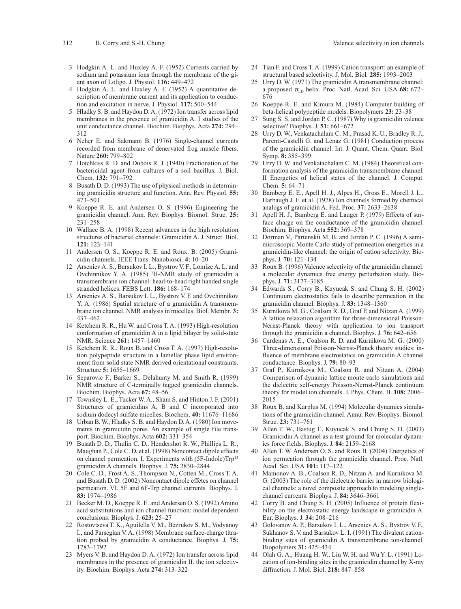- 3 Hodgkin A. L. and Huxley A. F. (1952) Currents carried by sodium and potassium ions through the membrane of the giant axon of Loligo. J. Physiol*.* **116:** 449–472
- 4 Hodgkin A. L. and Huxley A. F. (1952) A quantitative description of membrane current and its application to conduction and excitation in nerve. J. Physiol. **117:** 500–544
- 5 Hladky S. B. and Haydon D. A. (1972) Ion transfer across lipid membranes in the presence of gramicidin A. I studies of the unit conductance channel. Biochim. Biophys. Acta **274:** 294– 312
- 6 Neher E. and Sakmann B. (1976) Single-channel currents recorded from membrane of denervated frog muscle fibers. Nature **260:** 799–802
- 7 Hotchkiss R. D. and Dubois R. J. (1940) Fractionation of the bactericidal agent from cultures of a soil bacillus. J. Biol. Chem. **132:** 791–792
- 8 Busath D. D. (1993) The use of physical methods in determining gramicidin structure and function. Ann. Rev. Physiol. **55:** 473–501
- 9 Koeppe R. E. and Andersen O. S. (1996) Engineering the gramicidin channel. Ann. Rev. Biophys. Biomol. Struc. **25:** 231–258
- 10 Wallace B. A. (1998) Recent advances in the high resolution structures of bacterial channels: Gramicidin A. J. Struct. Biol. **121:** 123–141
- 11 Andersen O. S., Koeppe R. E. and Roux. B. (2005) Gramicidin channels. IEEE Trans. Nanobiosci*.* **4:** 10–20
- 12 Arseniev A. S., Barsukov I. L., Bystrov V. F., Lomize A. L. and Ovchinnikov Y. A. (1985) <sup>1</sup>H-NMR study of gramicidin a transmembrane ion channel: head-to-head right handed single stranded helices. FEBS Lett. **186:** 168–174
- 13 Arseniev A. S., Barsukov I. L., Bystrov V. F. and Ovchinnikov Y. A. (1986) Spatial structure of a gramicidin A transmembrane ion channel. NMR analysis in micelles. Biol. Membr*.* **3:** 437–462
- 14 Ketchem R. R., Hu W. and Cross T. A. (1993) High-resolution conformation of gramicidin A in a lipid bilayer by solid-state NMR. Science **261:** 1457–1460
- 15 Ketchem R. R., Roux B. and Cross T. A. (1997) High-resolution polypeptide structure in a lamellar phase lipid environment from solid state NMR derived orientational constraints. Structure **5:** 1655–1669
- 16 Separovic F., Barker S., Delahunty M. and Smith R. (1999) NMR structure of C-terminally tagged gramicidin channels. Biochim. Biophys. Acta **67:** 48–56
- 17 Townsley L. E., Tucker W. A., Sham S. and Hinton J. F. (2001) Structures of gramicidins A, B and C incorporated into sodium dodecyl sulfate micelles. Biochem. **40:** 11676–11686
- 18 Urban B. W., Hladky S. B. and Haydon D. A. (1980) Ion movements in gramicidin pores. An example of single file transport. Biochim. Biophys. Acta **602:** 331–354
- 19 Busath D. D., Thulin C. D., Hendershot R. W., Phillips L. R., Maughan P., Cole C. D. et al. (1998) Noncontact dipole effects on channel permeation. I. Experiments with (5F-Indole)Trp<sup>13</sup> gramicidin A channels. Biophys. J. **75:** 2830–2844
- 20 Cole C. D., Frost A. S., Thompson N., Cotten M., Cross T. A. and Busath D. D. (2002) Noncontact dipole effetcs on channel permeation. VI. 5F and 6F-Trp channel currents. Biophys. J. **83:** 1974–1986
- 21 Becker M. D., Koeppe R. E. and Andersen O. S. (1992) Amino acid substitutions and ion channel function: model dependent conclusions. Biophys. J. **623:** 25–27
- 22 Rostovtseva T. K., Aguilella V. M., Bezrukov S. M., Vodyanoy I., and Parsegian V. A. (1998) Membrane surface-charge titration probed by gramicidin A conductance. Biophys. J. **75:** 1783–1792
- 23 Myers V. B. and Haydon D. A. (1972) Ion transfer across lipid membranes in the presence of gramicidin II. the ion selectivity. Biochim. Biophys. Acta **274:** 313–322
- 
- 24 Tian F. and Cross T. A. (1999) Cation transport: an example of structural based selectivity. J. Mol. Biol*.* **285:** 1993–2003
- 25 Urry D. W. (1971) The gramicidin A transmembrane channel: a proposed  $\pi_{LD}$  helix. Proc. Natl. Acad. Sci. USA 68: 672– 676
- 26 Koeppe R. E. and Kimura M. (1984) Computer building of beta-helical polypeptide models. Biopolymers **23:** 23–38
- 27 Sung S. S. and Jordan P. C. (1987) Why is gramicidin valence selective? Biophys. J. **51:** 661–672
- 28 Urry D. W., Venkatachalam C. M., Prasad K. U., Bradley R. J., Parenti-Castelli G. and Lenaz G. (1981) Conduction process of the gramicidin channel. Int. J. Quant. Chem. Quant. Biol. Symp. **8:** 385–399
- 29 Urry D. W. and Venkatachalam C. M. (1984) Theoretical conformation analysis of the gramicidin transmembrane channel. II Energetics of helical states of the channel. J. Comput. Chem. **5:** 64–71
- 30 Bamberg E. E., Apell H. J., Alpes H., Gross E., Morell J. L., Harbaugh J. F. et al. (1978) Ion channels formed by chemical analogs of gramicidin A. Fed. Proc. **37:** 2633–2638
- Apell H. J., Bamberg E. and Lauger P. (1979) Effects of surface charge on the conductance of the gramicidin channel. Biochim. Biophys. Acta **552:** 369–378
- 32 Dorman V., Partenskii M. B. and Jordan P. C. (1996) A semimicroscopic Monte Carlo study of permeation energetics in a gramicidin-like channel: the origin of cation selectivity. Biophys. J. **70:** 121–134
- 33 Roux B. (1996) Valence selectivity of the gramicidin channel: a molecular dynamics free energy perturbation study. Biophys. J. **71:** 3177–3185
- 34 Edwards S., Corry B., Kuyucak S. and Chung S. H. (2002) Continuum electrostatics fails to describe permeation in the gramicidin channel. Biophys. J. **83:** 1348–1360
- 35 Kurnikova M. G., Coalson R. D., Graf P. and Nitzan A. (1999) A lattice relaxation algorithm for three-dimensional Poisson-Nernst-Planck theory with application to ion transport through the gramicidin a channel. Biophys. J. **76:** 642–656
- 36 Cardenas A. E., Coalson R. D. and Kurnikova M. G. (2000) Three-dimensional Poisson-Nernst-Planck theory studies: influence of membrane electrostatics on gramicidin A channel conductance. Biophys. J. **79:** 80–93
- 37 Graf P., Kurnikova M., Coalson R. and Nitzan A. (2004) Comparison of dynamic lattice monte carlo simulations and the dielectric self-energy Poisson-Nernst-Planck continuum theory for model ion channels. J. Phys. Chem. B. **108:** 2006– 2015
- 38 Roux B. and Karplus M. (1994) Molecular dynamics simulations of the gramicidin channel. Annu. Rev. Biophys. Biomol. Struc. **23:** 731–761
- 39 Allen T. W., Bastug T., Kuyucak S. and Chung S. H. (2003) Gramicidin A channel as a test ground for molecular dynamics force fields. Biophys. J. **84:** 2159–2168
- 40 Allen T. W. Andersen O. S. and Roux B. (2004) Energetics of ion permeation through the gramicidin channel. Proc. Natl. Acad. Sci. USA **101:** 117–122
- 41 Mamonov A. B., Coalson R. D., Nitzan A. and Kurnikova M. G. (2003) The role of the dielectric barrier in narrow biological channels: a novel composite approach to modeling singlechannel currents. Biophys. J. **84:** 3646–3661
- 42 Corry B. and Chung S. H. (2005) Influence of protein flexibility on the electrostatic energy landscape in gramicidin A. Eur. Biophys. J. **34:** 208–216
- 43 Golovanov A. P., Barsukov I. L., Arseniev A. S., Bystrov V. F., Sukhanov S. V. and Barsukov L. I. (1991) The divalent cationbinding sites of gramicidin A transmembrane ion-channel. Biopolymers **31:** 425–434
- 44 Olah G. A., Huang H. W., Liu W. H. and Wu Y. L. (1991) Location of ion-binding sites in the grainicidin channel by X-ray diffraction. J. Mol. Biol. **218:** 847–858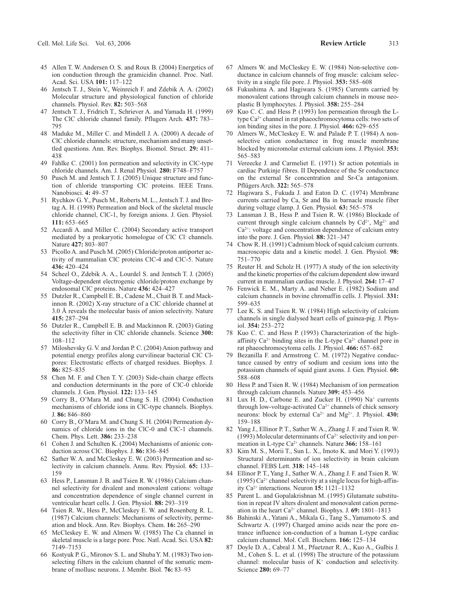- 45 Allen T. W. Andersen O. S. and Roux B. (2004) Energetics of ion conduction through the gramicidin channel. Proc. Natl. Acad. Sci. USA **101:** 117–122
- 46 Jentsch T. J., Stein V., Weinreich F. and Zdebik A. A. (2002) Molecular structure and physiological function of chloride channels. Physiol. Rev. **82:** 503–568
- 47 Jentsch T. J., Fridrich T., Schriever A. and Yamada H. (1999) The ClC chloride channel family. Pflugers Arch. **437:** 783– 795
- 48 Maduke M., Miller C. and Mindell J. A. (2000) A decade of ClC chloride channels: structure, mechanism and many unsettled questions. Ann. Rev. Biophys. Biomol. Struct. **29:** 411– 438
- 49 Fahlke C. (2001) Ion permeation and selectivity in ClC-type chloride channels. Am. J. Renal Physiol*.* **280:** F748–F757
- 50 Pusch M. and Jentsch T. J. (2005) Unique structure and function of chloride transporting ClC proteins. IEEE Trans. Nanobiosci. **4:** 49–57
- 51 Rychkov G. Y., Pusch M., Roberts M. L., Jentsch T. J. and Bretag A. H. (1998) Permeation and block of the skeletal muscle chloride channel, ClC-1, by foreign anions. J. Gen. Physiol*.* **111:** 653–665
- 52 Accardi A. and Miller C. (2004) Secondary active transport mediated by a prokaryotic homologue of ClC Cl– channels. Nature **427:** 803–807
- 53 Picollo A. and Pusch M. (2005) Chloride/proton antiporter activity of mammalian ClC proteins ClC-4 and ClC-5. Nature **436:** 420–424
- 54 Scheel O., Zdebik A. A., Lourdel S. and Jentsch T. J. (2005) Voltage-dependent electrogenic chloride/proton exchange by endosomal ClC proteins. Nature **436:** 424–427
- 55 Dutzler R., Campbell E. B., Cadene M., Chait B. T. and Mackinnon R. (2002) X-ray structure of a ClC chloride channel at 3.0 Å reveals the molecular basis of anion selectivity. Nature **415:** 287–294
- 56 Dutzler R., Campbell E. B. and Mackinnon R. (2003) Gating the selectivity filter in ClC chloride channels. Science **300:** 108–112
- 57 Miloshevsky G. V. and Jordan P. C. (2004) Anion pathway and potential energy profiles along curvilinear bacterial ClC Clpores: Electrostatic effects of charged residues. Biophys. J. **86:** 825–835
- 58 Chen M. F. and Chen T. Y. (2003) Side-chain charge effects and conduction determinants in the pore of ClC-0 chloride channels. J. Gen. Physiol. **122:** 133–145
- 59 Corry B., O'Mara M. and Chung S. H. (2004) Conduction mechanisms of chloride ions in ClC-type channels. Biophys. J. **86:** 846–860
- 60 Corry B., O'Mara M. and Chung S. H. (2004) Permeation dynamics of chloride ions in the ClC-0 and ClC-1 channels. Chem. Phys. Lett. **386:** 233–238
- 61 Cohen J. and Schulten K. (2004) Mechanisms of anionic conduction across ClC. Biophys. J. **86:** 836–845
- Sather W. A. and McCleskey E. W. (2003) Permeation and selectivity in calcium channels. Annu. Rev. Physiol. **65:** 133– 159
- 63 Hess P., Lansman J. B. and Tsien R. W. (1986) Calcium channel selectivity for divalent and monovalent cations: voltage and concentration dependence of single channel current in ventricular heart cells. J. Gen. Physiol. **88:** 293–319
- 64 Tsien R. W., Hess P., McCleskey E. W. and Rosenberg R. L. (1987) Calcium channels: Mechanisms of selectivity, permeation and block. Ann. Rev. Biophys. Chem. **16:** 265–290
- 65 McCleskey E. W. and Almers W. (1985) The Ca channel in skeletal muscle is a large pore. Proc. Natl. Acad. Sci. USA **82:** 7149–7153
- 66 Kostyuk P. G., Mironov S. L. and Shuba Y. M. (1983) Two ionselecting filters in the calcium channel of the somatic membrane of mollusc neurons. J. Membr. Biol. **76:** 83–93
- 67 Almers W. and McCleskey E. W. (1984) Non-selective conductance in calcium channels of frog muscle: calcium selectivity in a single file pore. J. Physiol. **353:** 585–608
- 68 Fukushima A. and Hagiwara S. (1985) Currents carried by monovalent cations through calcium channels in mouse neoplastic B lymphocytes. J. Physiol. **358:** 255–284
- 69 Kuo C. C. and Hess P. (1993) Ion permeation through the Ltype Ca2+ channel in rat phaeochromocytoma cells: two sets of ion binding sites in the pore. J. Physiol*.* **466:** 629–655
- 70 Almers W., McCleskey E. W. and Palade P. T. (1984) A nonselective cation conductance in frog muscle membrane blocked by micromolar external calcium ions. J. Physiol. **353:** 565–583
- 71 Vereecke J. and Carmeliet E. (1971) Sr action potentials in cardiac Purkinje fibres. II Dependence of the Sr conductance on the external Sr concentration and Sr-Ca antagonism. Pflügers Arch. **322:** 565–578
- 72 Hagiwara S., Fukuda J. and Eaton D. C. (1974) Membrane currents carried by Ca, Sr and Ba in barnacle muscle fiber during voltage clamp. J. Gen. Physiol*.* **63:** 565–578
- 73 Lansman J. B., Hess P. and Tsien R. W. (1986) Blockade of current through single calcium channels by  $Cd^{2+}$ ,  $Mg^{2+}$  and Ca2+: voltage and concentration dependence of calcium entry into the pore. J. Gen. Physiol*.* **88:** 321–347
- 74 Chow R. H. (1991) Cadmium block of squid calcium currents. macroscopic data and a kinetic model. J. Gen. Physiol. **98:** 751–770
- 75 Reuter H. and Scholz H. (1977) A study of the ion selectivity and the kinetic properties of the calcium dependent slow inward current in mammalian cardiac muscle. J. Physiol*.* **264:** 17–47
- 76 Fenwick E. M., Marty A. and Neher E. (1982) Sodium and calcium channels in bovine chromaffin cells. J. Physiol. **331:** 599–635
- 77 Lee K. S. and Tsien R. W. (1984) High selectivity of calcium channels in single dialysed heart cells of guinea-pig. J. Physiol. **354:** 253–272
- 78 Kuo C. C. and Hess P. (1993) Characterization of the highaffinity  $Ca^{2+}$  binding sites in the L-type  $Ca^{2+}$  channel pore in rat phaeochromocytoma cells. J. Physiol. **466:** 657–682
- 79 Bezanilla F. and Armstrong C. M. (1972) Negative conductance caused by entry of sodium and cesium ions into the potassium channels of squid giant axons. J. Gen. Physiol. **60:** 588–608
- 80 Hess P. and Tsien R. W. (1984) Mechanism of ion permeation through calcium channels. Nature **309:** 453–456
- 81 Lux H. D., Carbone E. and Zucker H. (1990) Na<sup>+</sup> currents through low-voltage-activated  $Ca^{2+}$  channels of chick sensory neurons: block by external Ca2+ and Mg2+. J. Physiol. **430:** 159–188
- 82 Yang J., Ellinor P. T., Sather W. A., Zhang J. F. and Tsien R. W. (1993) Molecular determinants of  $Ca^{2+}$  selectivity and ion permeation in L-type Ca<sup>2+</sup> channels. Nature 366: 158-161
- 83 Kim M. S., Morii T., Sun L. X., Imoto K. and Mori Y. (1993) Structural determinants of ion selectivity in brain calcium channel. FEBS Lett. **318:** 145–148
- 84 Ellinor P. T., Yang J., Sather W. A., Zhang J. F. and Tsien R. W. (1995)  $Ca^{2+}$  channel selectivity at a single locus for high-affinity Ca2+ interactions. Neuron **15:** 1121–1132
- 85 Parent L. and Gopalakrishnan M. (1995) Glutamate substitution in repeat IV alters divalent and monovalent cation permeation in the heart Ca2+ channel. Biophys. J. **69:** 1801–1813
- 86 Bahinski A., Yatani A., Mikala G., Tang S., Yamamoto S. and Schwartz A. (1997) Charged amino acids near the pore entrance influence ion-conduction of a human L-type cardiac calcium channel. Mol. Cell. Biochem. **166:** 125–134
- Doyle D. A., Cabral J. M., Pfuetzner R. A., Kuo A., Gulbis J. M., Cohen S. L. et al. (1998) The structure of the potassium channel: molecular basis of  $K^+$  conduction and selectivity. Science **280:** 69–77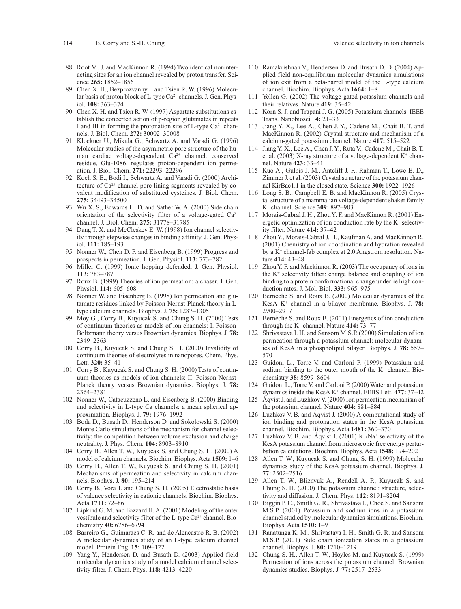- 88 Root M. J. and MacKinnon R. (1994) Two identical noninteracting sites for an ion channel revealed by proton transfer. Science **265:** 1852–1856
- 89 Chen X. H., Bezprozvanny I. and Tsien R. W. (1996) Molecular basis of proton block of L-type Ca<sup>2+</sup> channels. J. Gen. Physiol. **108:** 363–374
- 90 Chen X. H. and Tsien R. W. (1997) Aspartate substitutions establish the concerted action of p-region glutamates in repeats I and III in forming the protonation site of L-type  $Ca^{2+}$  channels. J. Biol. Chem. **272:** 30002–30008
- 91 Klockner U., Mikala G., Schwartz A. and Varadi G. (1996) Molecular studies of the asymmetric pore structure of the human cardiac voltage-dependent Ca2+ channel. conserved residue, Glu-1086, regulates proton-dependent ion permeation. J. Biol. Chem. **271:** 22293–22296
- 92 Koch S. E., Bodi I., Schwartz A. and Varadi G. (2000) Architecture of Ca<sup>2+</sup> channel pore lining segments revealed by covalent modification of substituted cysteines. J. Biol. Chem. **275:** 34493–34500
- 93 Wu X. S., Edwards H. D. and Sather W. A. (2000) Side chain orientation of the selectivity filter of a voltage-gated Ca<sup>2+</sup> channel. J. Biol. Chem. **275:** 31778–31785
- 94 Dang T. X. and McCleskey E. W. (1998) Ion channel selectivity through stepwise changes in binding affinity. J. Gen. Physiol. **111:** 185–193
- 95 Nonner W., Chen D. P. and Eisenberg B. (1999) Progress and prospects in permeation. J. Gen. Physiol. **113:** 773–782
- 96 Miller C. (1999) Ionic hopping defended. J. Gen. Physiol. **113:** 783–787
- 97 Roux B. (1999) Theories of ion permeation: a chaser. J. Gen. Physiol. **114:** 605–608
- 98 Nonner W. and Eisenberg B. (1998) Ion permeation and glutamate residues linked by Poisson-Nernst-Planck theory in Ltype calcium channels. Biophys. J. **75:** 1287–1305
- 99 Moy G., Corry B., Kuyucak S. and Chung S. H. (2000) Tests of continuum theories as models of ion channels: I. Poisson-Boltzmann theory versus Brownian dynamics. Biophys. J. **78:** 2349–2363
- 100 Corry B., Kuyucak S. and Chung S. H. (2000) Invalidity of continuum theories of electrolytes in nanopores. Chem. Phys. Lett. **320:** 35–41
- 101 Corry B., Kuyucak S. and Chung S. H. (2000) Tests of continuum theories as models of ion channels: II. Poisson-Nernst-Planck theory versus Brownian dynamics. Biophys. J. **78:** 2364–2381
- 102 Nonner W., Catacuzzeno L. and Eisenberg B. (2000) Binding and selectivity in L-type Ca channels: a mean spherical approximation. Biophys. J. **79:** 1976–1992
- 103 Boda D., Busath D., Henderson D. and Sokolowski S. (2000) Monte Carlo simulations of the mechanism for channel selectivity: the competition between volume exclusion and charge neutrality. J. Phys. Chem. **104:** 8903–8910
- 104 Corry B., Allen T. W., Kuyucak S. and Chung S. H. (2000) A model of calcium channels. Biochim. Biophys. Acta **1509:** 1–6
- 105 Corry B., Allen T. W., Kuyucak S. and Chung S. H. (2001) Mechanisms of permeation and selectivity in calcium channels. Biophys. J. **80:** 195–214
- 106 Corry B., Vora T. and Chung S. H. (2005) Electrostatic basis of valence selectivity in cationic channels. Biochim. Biophys. Acta **1711:** 72–86
- 107 Lipkind G. M. and Fozzard H. A. (2001) Modeling of the outer vestibule and selectivity filter of the L-type  $Ca^{2+}$  channel. Biochemistry **40:** 6786–6794
- 108 Barreiro G., Guimaraes C. R. and de Alencastro R. B. (2002) A molecular dynamics study of an L-type calcium channel model. Protein Eng. **15:** 109–122
- 109 Yang Y., Hendersen D. and Busath D. (2003) Applied field molecular dynamics study of a model calcium channel selectivity filter. J. Chem. Phys. **118:** 4213–4220
- 110 Ramakrishnan V., Hendersen D. and Busath D. D. (2004) Applied field non-equilibrium molecular dynamics simulations of ion exit from a beta-barrel model of the L-type calcium channel. Biochim. Biophys. Acta **1664:** 1–8
- 111 Yellen G. (2002) The voltage-gated potassium channels and their relatives. Nature **419:** 35–42
- 112 Korn S. J. and Trapani J. G. (2005) Potassium channels. IEEE Trans. Nanobiosci*.*. **4:** 21–33
- 113 Jiang Y. X., Lee A., Chen J. Y., Cadene M., Chait B. T. and MacKinnon R. (2002) Crystal structure and mechanism of a calcium-gated potassium channel. Nature **417:** 515–522
- 114 Jiang Y. X., Lee A., Chen J. Y., Ruta V., Cadene M., Chait B. T. et al. (2003) X-ray structure of a voltage-dependent  $K^+$  channel. Nature **423:** 33–41
- 115 Kuo A., Gulbis J. M., Antcliff J. F., Rahman T., Lowe E. D., Zimmer J. et al. (2003) Crystal structure of the potassium channel KirBac1.1 in the closed state. Science **300:** 1922–1926
- 116 Long S. B., Campbell E. B. and MacKinnon R. (2005) Crystal structure of a mammalian voltage-dependent shaker family K+ channel. Science **309:** 897–903
- 117 Morais-Cabral J. H., Zhou Y. F. and MacKinnon R. (2001) Energetic optimization of ion conduction rate by the  $K^+$  selectivity filter. Nature **414:** 37–42
- 118 Zhou Y., Morais-Cabral J. H., Kaufman A. and MacKinnon R. (2001) Chemistry of ion coordination and hydration revealed by a K+ channel-fab complex at 2.0 Angstrom resolution. Nature **414:** 43–48
- 119 Zhou Y. F. and Mackinnon R. (2003) The occupancy of ions in the  $K^+$  selectivity filter: charge balance and coupling of ion binding to a protein conformational change underlie high conduction rates. J. Mol. Biol. **333:** 965–975
- 120 Berneche S. and Roux B. (2000) Molecular dynamics of the KcsA K+ channel in a bilayer membrane. Biophys. J. **78:** 2900–2917
- 121 Bernèche S. and Roux B. (2001) Energetics of ion conduction through the K+ channel. Nature **414:** 73–77
- 122 Shrivastava I. H. and Sansom M.S.P. (2000) Simulation of ion permeation through a potassium channel: molecular dynamics of KcsA in a phospholipid bilayer. Biophys. J. **78:** 557– 570
- 123 Guidoni L., Torre V. and Carloni P. (1999) Potassium and sodium binding to the outer mouth of the  $K^+$  channel. Biochemistry **38:** 8599–8604
- 124 Guidoni L., Torre V. and Carloni P. (2000) Water and potassium dynamics inside the KcsA K+ channel. FEBS Lett. **477:** 37–42
- 125 Áqvist J. and Luzhkov V. (2000) Ion permeation mechanism of the potassium channel. Nature **404:** 881–884
- 126 Luzhkov V. B. and Áqvist J. (2000) A computational study of ion binding and protonation states in the KcsA potassium channel. Biochim. Biophys. Acta **1481:** 360–370
- 127 Luzhkov V. B. and Áqvist J. (2001)  $K^{\dagger}/Na^{\dagger}$  selectivity of the KcsA potassium channel from microscopic free energy perturbation calculations. Biochim. Biophys. Acta **1548:** 194–202
- 128 Allen T. W., Kuyucak S. and Chung S. H. (1999) Molecular dynamics study of the KcsA potassium channel. Biophys. J. **77:** 2502–2516
- 129 Allen T. W., Bliznyuk A., Rendell A. P., Kuyucak S. and Chung S. H. (2000) The potassium channel: structure, selectivity and diffusion. J. Chem. Phys. **112:** 8191–8204
- 130 Biggin P. C., Smith G. R., Shrivastava I., Choe S. and Sansom M.S.P. (2001) Potassium and sodium ions in a potassium channel studied by molecular dynamics simulations. Biochim. Biophys. Acta **1510:** 1–9
- 131 Ranatunga K. M., Shrivastava I. H., Smith G. R. and Sansom M.S.P. (2001) Side chain ionization states in a potassium channel. Biophys. J. **80:** 1210–1219
- 132 Chung S. H., Allen T. W., Hoyles M. and Kuyucak S. (1999) Permeation of ions across the potassium channel: Brownian dynamics studies. Biophys. J. **77:** 2517–2533